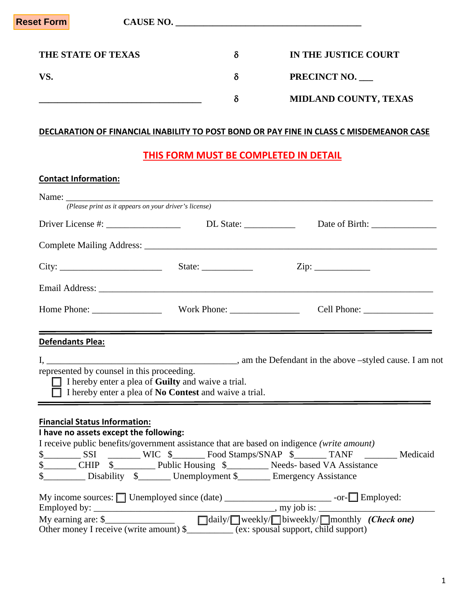| Reset Form <mark>l</mark> | <b>CAUSE NO.</b> |   |                       |
|---------------------------|------------------|---|-----------------------|
| THE STATE OF TEXAS        |                  | δ | IN THE JUSTICE COURT  |
| VS.                       |                  |   | PRECINCT NO.          |
|                           |                  |   | MIDLAND COUNTY, TEXAS |

## **DECLARATION OF FINANCIAL INABILITY TO POST BOND OR PAY FINE IN CLASS C MISDEMEANOR CASE**

# **THIS FORM MUST BE COMPLETED IN DETAIL**

## **Contact Information:**

|                                                                                                           | (Please print as it appears on your driver's license)                                                                                  |  |
|-----------------------------------------------------------------------------------------------------------|----------------------------------------------------------------------------------------------------------------------------------------|--|
|                                                                                                           |                                                                                                                                        |  |
|                                                                                                           |                                                                                                                                        |  |
|                                                                                                           |                                                                                                                                        |  |
|                                                                                                           |                                                                                                                                        |  |
|                                                                                                           |                                                                                                                                        |  |
| <b>Defendants Plea:</b>                                                                                   |                                                                                                                                        |  |
| represented by counsel in this proceeding.<br><u> 1989 - Johann Stoff, amerikansk politiker (d. 1989)</u> | I hereby enter a plea of <b>Guilty</b> and waive a trial.<br>$\Box$ I hereby enter a plea of <b>No Contest</b> and waive a trial.      |  |
| <b>Financial Status Information:</b>                                                                      |                                                                                                                                        |  |
| I have no assets except the following:                                                                    |                                                                                                                                        |  |
|                                                                                                           | I receive public benefits/government assistance that are based on indigence (write amount)                                             |  |
|                                                                                                           |                                                                                                                                        |  |
|                                                                                                           | \$__________ CHIP \$_____________ Public Housing \$___________ Needs- based VA Assistance                                              |  |
|                                                                                                           | \$___________ Disability \$_________ Unemployment \$_________ Emergency Assistance                                                     |  |
|                                                                                                           |                                                                                                                                        |  |
|                                                                                                           | Employed by: $\_\_\_\_\_\_\_\_\_\_\_\_\_\_\_\_$ , my job is: $\_\_\_\_\_\_\_\_\_\_\_\_\_\_\_\_\_\_\_\_$                                |  |
|                                                                                                           | My earning are: $\frac{\sqrt{3}}{2}$<br>Other money I receive (write amount) $\frac{\sqrt{3}}{2}$ (ex: spousal support, child support) |  |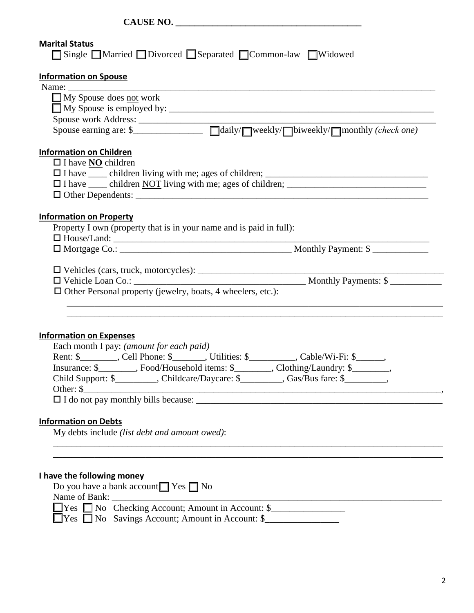| <b>Marital Status</b><br>□ Single ■ Married ■ Divorced ■ Separated ■ Common-law ■ Widowed                                                                                         |
|-----------------------------------------------------------------------------------------------------------------------------------------------------------------------------------|
| <b>Information on Spouse</b>                                                                                                                                                      |
| Name: $\frac{1}{\sqrt{1-\frac{1}{2}}\cdot\frac{1}{2}}$<br>$\Box$ My Spouse does not work                                                                                          |
|                                                                                                                                                                                   |
|                                                                                                                                                                                   |
|                                                                                                                                                                                   |
| <b>Information on Children</b>                                                                                                                                                    |
| $\Box$ I have <b>NO</b> children                                                                                                                                                  |
|                                                                                                                                                                                   |
|                                                                                                                                                                                   |
|                                                                                                                                                                                   |
| <b>Information on Property</b><br>Property I own (property that is in your name and is paid in full):                                                                             |
| $\Box$ House/Land: $\Box$                                                                                                                                                         |
|                                                                                                                                                                                   |
|                                                                                                                                                                                   |
|                                                                                                                                                                                   |
| $\Box$ Other Personal property (jewelry, boats, 4 wheelers, etc.):                                                                                                                |
|                                                                                                                                                                                   |
|                                                                                                                                                                                   |
| <b>Information on Expenses</b>                                                                                                                                                    |
| Each month I pay: (amount for each paid)                                                                                                                                          |
| Rent: \$_________, Cell Phone: \$_______, Utilities: \$_________, Cable/Wi-Fi: \$_____,                                                                                           |
| Insurance: \$_________, Food/Household items: \$________, Clothing/Laundry: \$_______,<br>Child Support: \$___________, Childcare/Daycare: \$_________, Gas/Bus fare: \$________, |
| Other: \$<br><u> 2000 - 2000 - 2000 - 2000 - 2000 - 2000 - 2000 - 2000 - 2000 - 2000 - 2000 - 2000 - 2000 - 2000 - 2000 - 200</u>                                                 |
|                                                                                                                                                                                   |
|                                                                                                                                                                                   |
| <b>Information on Debts</b><br>My debts include (list debt and amount owed):                                                                                                      |
|                                                                                                                                                                                   |
|                                                                                                                                                                                   |
| I have the following money                                                                                                                                                        |
| Do you have a bank account $\Box$ Yes $\Box$ No                                                                                                                                   |
| Name of Bank:                                                                                                                                                                     |
| ■ Yes ■ No Checking Account; Amount in Account: \$                                                                                                                                |
| $\gamma$ $\gamma$ es $\Box$ No Savings Account; Amount in Account: \$                                                                                                             |